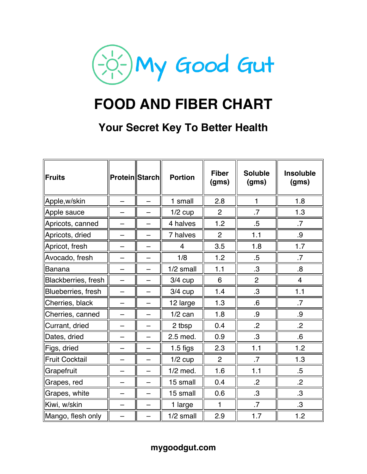

# **FOOD AND FIBER CHART**

## **Your Secret Key To Better Health**

| ∥Fruits               | <b>Protein Starch</b> |   | <b>Portion</b> | <b>Fiber</b><br>(gms) | <b>Soluble</b><br>(gms) | <b>Insoluble</b><br>(gms) |
|-----------------------|-----------------------|---|----------------|-----------------------|-------------------------|---------------------------|
| Apple, w/skin         |                       |   | 1 small        | 2.8                   | $\mathbf{1}$            | 1.8                       |
| Apple sauce           |                       | — | $1/2$ cup      | $\overline{2}$        | $\overline{7}$          | 1.3                       |
| Apricots, canned      |                       |   | 4 halves       | 1.2                   | $.5\,$                  | .7                        |
| Apricots, dried       |                       |   | 7 halves       | $\overline{2}$        | 1.1                     | .9                        |
| Apricot, fresh        |                       |   | 4              | 3.5                   | 1.8                     | 1.7                       |
| Avocado, fresh        | —                     |   | 1/8            | 1.2                   | $.5\,$                  | .7                        |
| <b>Banana</b>         |                       |   | 1/2 small      | 1.1                   | $\cdot$ 3               | .8                        |
| Blackberries, fresh   |                       |   | $3/4$ cup      | 6                     | $\overline{2}$          | 4                         |
| Blueberries, fresh    |                       |   | $3/4$ cup      | 1.4                   | $\cdot$ 3               | 1.1                       |
| Cherries, black       |                       | — | 12 large       | 1.3                   | .6                      | .7                        |
| Cherries, canned      | —                     |   | $1/2$ can      | 1.8                   | .9                      | .9                        |
| Currant, dried        |                       |   | 2 tbsp         | 0.4                   | $\overline{2}$          | $\overline{2}$            |
| Dates, dried          |                       |   | 2.5 med.       | 0.9                   | $\cdot$ 3               | $6 \cdot$                 |
| Figs, dried           |                       |   | $1.5$ figs     | 2.3                   | 1.1                     | 1.2                       |
| <b>Fruit Cocktail</b> |                       | — | $1/2$ cup      | $\overline{2}$        | $\cdot$ 7               | 1.3                       |
| Grapefruit            |                       | - | $1/2$ med.     | 1.6                   | 1.1                     | $.5\,$                    |
| Grapes, red           |                       | — | 15 small       | 0.4                   | $\cdot$                 | $\cdot$                   |
| Grapes, white         |                       |   | 15 small       | 0.6                   | $\cdot$ 3               | $\cdot$ 3                 |
| Kiwi, w/skin          |                       |   | 1 large        | $\blacksquare$        | .7                      | $\cdot$ 3                 |
| Mango, flesh only     |                       |   | 1/2 small      | 2.9                   | 1.7                     | 1.2                       |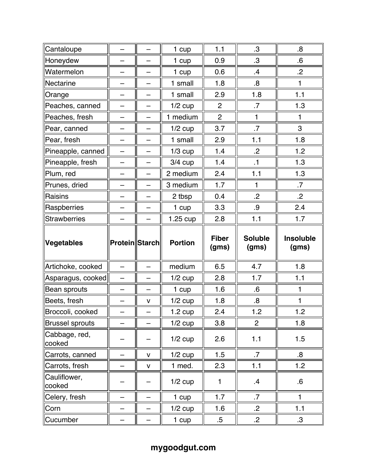| Cantaloupe              |                          | —                        | 1 cup             | 1.1                   | $\cdot$ 3               | $8 \cdot$                 |
|-------------------------|--------------------------|--------------------------|-------------------|-----------------------|-------------------------|---------------------------|
| Honeydew                | —                        | —                        | 1 cup             | 0.9                   | $\cdot$ 3               | 6.6                       |
| Watermelon              |                          |                          | 1 cup             | 0.6                   | $\cdot$                 | $\cdot$                   |
| Nectarine               |                          | —                        | 1 small           | 1.8                   | 8.5                     | 1                         |
| Orange                  |                          |                          | 1 small           | 2.9                   | 1.8                     | 1.1                       |
| Peaches, canned         |                          |                          | $1/2$ cup         | $\overline{2}$        | .7                      | 1.3                       |
| Peaches, fresh          |                          | $\overline{\phantom{0}}$ | 1 medium          | $\overline{2}$        | 1                       | 1                         |
| Pear, canned            | $\overline{\phantom{0}}$ | -                        | $1/2$ cup         | 3.7                   | $.7\,$                  | 3                         |
| Pear, fresh             | $\overline{\phantom{0}}$ | —                        | 1 small           | 2.9                   | 1.1                     | 1.8                       |
| Pineapple, canned       | —                        | $\overline{\phantom{0}}$ | $1/3$ cup         | 1.4                   | $\cdot$ .2              | 1.2                       |
| Pineapple, fresh        |                          | $\overline{\phantom{0}}$ | $3/4$ cup         | 1.4                   | .1                      | 1.3                       |
| Plum, red               |                          | $\overline{\phantom{0}}$ | 2 medium          | 2.4                   | 1.1                     | 1.3                       |
| Prunes, dried           |                          |                          | 3 medium          | 1.7                   | 1                       | $\cdot$ 7                 |
| Raisins                 | -                        | —                        | 2 tbsp            | 0.4                   | $\overline{2}$          | $\overline{2}$            |
| Raspberries             |                          | -                        | 1 cup             | 3.3                   | .9                      | 2.4                       |
| <b>Strawberries</b>     |                          | $\overline{\phantom{0}}$ | $1.25$ cup        | 2.8                   | 1.1                     | 1.7                       |
|                         |                          |                          |                   |                       |                         |                           |
| Vegetables              | <b>Protein</b>  Starch   |                          | <b>Portion</b>    | <b>Fiber</b><br>(gms) | <b>Soluble</b><br>(gms) | <b>Insoluble</b><br>(gms) |
| Artichoke, cooked       | $\overline{\phantom{0}}$ | —                        | medium            | 6.5                   | 4.7                     | 1.8                       |
| Asparagus, cooked       | $\overline{\phantom{0}}$ |                          | $1/2$ cup         | 2.8                   | 1.7                     | 1.1                       |
| Bean sprouts            |                          |                          | 1 cup             | 1.6                   | $6 \cdot$               | 1                         |
| Beets, fresh            |                          | $\mathsf{V}$             | $1/2$ cup         | 1.8                   | 8.                      | 1                         |
| Broccoli, cooked        |                          |                          | $1.2 \text{ cup}$ | 2.4                   | 1.2                     | 1.2                       |
| <b>Brussel sprouts</b>  |                          |                          | $1/2$ cup         | 3.8                   | $\overline{2}$          | 1.8                       |
| Cabbage, red,<br>cooked |                          |                          | $1/2$ cup         | 2.6                   | 1.1                     | 1.5                       |
| Carrots, canned         |                          | $\mathsf{V}$             | $1/2$ cup         | 1.5                   | .7                      | $\boldsymbol{8}$          |
| Carrots, fresh          |                          | $\mathsf{V}$             | 1 med.            | 2.3                   | 1.1                     | 1.2                       |
| Cauliflower,<br>cooked  |                          |                          | $1/2$ cup         | 1                     | $\mathbf{.4}$           | $6 \,$                    |
| Celery, fresh           |                          |                          | 1 cup             | 1.7                   | $\cdot$ 7               | $\mathbf{1}$              |
| Corn                    |                          |                          | $1/2$ cup         | 1.6                   | $\cdot$                 | 1.1                       |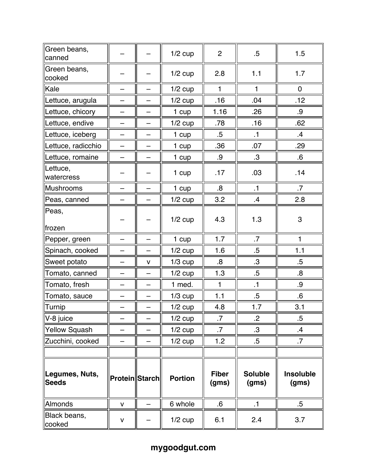| Green beans,<br>canned          |                       |   | $1/2$ cup      | $\overline{2}$        | $.5\,$                  | 1.5                       |
|---------------------------------|-----------------------|---|----------------|-----------------------|-------------------------|---------------------------|
| Green beans,<br>cooked          |                       |   | $1/2$ cup      | 2.8                   | 1.1                     | 1.7                       |
| Kale                            |                       |   | $1/2$ cup      | $\mathbf{1}$          | $\mathbf{1}$            | $\mathbf 0$               |
| Lettuce, arugula                |                       |   | $1/2$ cup      | .16                   | .04                     | .12                       |
| Lettuce, chicory                | —                     | — | 1 cup          | 1.16                  | .26                     | .9                        |
| Lettuce, endive                 |                       |   | $1/2$ cup      | .78                   | .16                     | .62                       |
| Lettuce, iceberg                |                       |   | 1 cup          | $.5\,$                | $\cdot$ 1               | $\cdot$                   |
| Lettuce, radicchio              | -                     | - | 1 cup          | .36                   | .07                     | .29                       |
| Lettuce, romaine                |                       |   | 1 cup          | .9                    | $.3\,$                  | $6^{\circ}$               |
| Lettuce,<br>watercress          |                       |   | 1 cup          | .17                   | .03                     | .14                       |
| Mushrooms                       |                       |   | 1 cup          | 8.                    | .1                      | $.7\,$                    |
| Peas, canned                    |                       |   | $1/2$ cup      | 3.2                   | $\cdot$                 | 2.8                       |
| Peas,<br>∥frozen                |                       |   | $1/2$ cup      | 4.3                   | 1.3                     | $\mathbf{3}$              |
| Pepper, green                   |                       |   | 1 cup          | 1.7                   | .7                      | $\mathbf{1}$              |
| Spinach, cooked                 |                       |   | $1/2$ cup      | 1.6                   | $.5\,$                  | 1.1                       |
| Sweet potato                    |                       | v | $1/3$ cup      | 8.5                   | $\cdot$ 3               | $.5\,$                    |
| Tomato, canned                  | —                     | - | $1/2$ cup      | 1.3                   | $.5\,$                  | $8 \cdot$                 |
| Tomato, fresh                   |                       | — | 1 med.         | $\mathbf{1}$          | $\cdot$ 1               | .9                        |
| Tomato, sauce                   | —                     | — | $1/3$ cup      | 1.1                   | $.5\,$                  | $6 \cdot$                 |
| <b>Turnip</b>                   |                       |   | $1/2$ cup      | 4.8                   | 1.7                     | 3.1                       |
| V-8 juice                       |                       |   | $1/2$ cup      | .7                    | $\cdot$                 | $.5\,$                    |
| Yellow Squash                   |                       |   | $1/2$ cup      | $\cdot$ 7             | $3 \cdot$               | $\cdot$                   |
| Zucchini, cooked                |                       |   | $1/2$ cup      | 1.2                   | $.5\,$                  | $.7\,$                    |
|                                 |                       |   |                |                       |                         |                           |
| ∥Legumes, Nuts,<br><b>Seeds</b> | <b>Protein Starch</b> |   | <b>Portion</b> | <b>Fiber</b><br>(gms) | <b>Soluble</b><br>(gms) | <b>Insoluble</b><br>(gms) |
| Almonds                         | $\mathsf{v}$          |   | 6 whole        | $6 \,$                | $\cdot$ 1               | $.5\,$                    |
| Black beans,<br>cooked          | V                     |   | $1/2$ cup      | 6.1                   | 2.4                     | 3.7                       |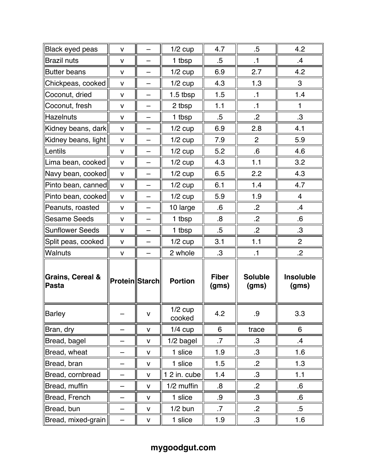| Black eyed peas                      | v                     | -                        | $1/2$ cup           | 4.7                   | $.5\,$                  | 4.2                       |
|--------------------------------------|-----------------------|--------------------------|---------------------|-----------------------|-------------------------|---------------------------|
| <b>Brazil nuts</b>                   | $\mathsf{V}$          | —                        | 1 tbsp              | $.5\,$                | $\cdot$ 1               | $\cdot$                   |
| <b>Butter beans</b>                  | $\mathsf{V}$          |                          | $1/2$ cup           | 6.9                   | 2.7                     | 4.2                       |
| Chickpeas, cooked                    | $\mathsf{V}$          | —                        | $1/2$ cup           | 4.3                   | 1.3                     | 3                         |
| Coconut, dried                       | $\mathsf{V}$          |                          | $1.5$ tbsp          | 1.5                   | $\cdot$ 1               | 1.4                       |
| Coconut, fresh                       | v                     |                          | 2 tbsp              | 1.1                   | $\cdot$ 1               | 1                         |
| Hazelnuts                            | $\mathsf{V}$          | —                        | 1 tbsp              | $.5\,$                | $\overline{2}$          | $.3\,$                    |
| Kidney beans, dark                   | v                     | —                        | $1/2$ cup           | 6.9                   | 2.8                     | 4.1                       |
| Kidney beans, light                  | v                     | -                        | $1/2$ cup           | 7.9                   | $\overline{2}$          | 5.9                       |
| Lentils                              | $\mathsf{V}$          | $\overline{\phantom{0}}$ | $1/2$ cup           | 5.2                   | $.6\phantom{0}$         | 4.6                       |
| Lima bean, cooked                    | $\mathsf{V}$          | $\overline{\phantom{0}}$ | $1/2$ cup           | 4.3                   | 1.1                     | 3.2                       |
| Navy bean, cooked                    | $\mathsf{V}$          |                          | $1/2$ cup           | 6.5                   | 2.2                     | 4.3                       |
| Pinto bean, canned                   | $\mathsf{V}$          |                          | $1/2$ cup           | 6.1                   | 1.4                     | 4.7                       |
| Pinto bean, cooked                   | $\mathsf{V}$          | —                        | $1/2$ cup           | 5.9                   | 1.9                     | $\overline{4}$            |
| Peanuts, roasted                     | $\mathsf{V}$          | —                        | 10 large            | $.6\,$                | $\cdot$ .2              | $\mathcal{A}$             |
| <b>Sesame Seeds</b>                  | v                     | —                        | 1 tbsp              | 8.5                   | $\cdot$ 2               | $6 \,$                    |
| <b>Sunflower Seeds</b>               | v                     | -                        | 1 tbsp              | $.5\,$                | $\cdot$ .2              | $\cdot$ 3                 |
| Split peas, cooked                   | $\mathsf{V}$          |                          | $1/2$ cup           | 3.1                   | 1.1                     | $\overline{c}$            |
| <b>Walnuts</b>                       | v                     |                          | 2 whole             | $\cdot$ 3             | $\cdot$ 1               | $\overline{.2}$           |
| <b>Grains, Cereal &amp;</b><br>Pasta | <b>Protein Starch</b> |                          | <b>Portion</b>      | <b>Fiber</b><br>(gms) | <b>Soluble</b><br>(gms) | <b>Insoluble</b><br>(gms) |
| Barley                               |                       | V                        | $1/2$ cup<br>cooked | 4.2                   | .9                      | 3.3                       |
| Bran, dry                            |                       | $\mathsf{V}$             | $1/4$ cup           | 6                     | trace                   | 6                         |
| Bread, bagel                         | —                     | $\mathsf{V}$             | 1/2 bagel           | $.7\,$                | $\cdot$ 3               | $\cdot$                   |
| Bread, wheat                         |                       | $\mathsf{V}$             | 1 slice             | 1.9                   | $\cdot$ 3               | 1.6                       |
| Bread, bran                          |                       | $\mathsf{V}$             | 1 slice             | 1.5                   | $\overline{.2}$         | 1.3                       |
| Bread, cornbread                     |                       | V                        | 1 2 in. cube        | 1.4                   | $\cdot$ 3               | 1.1                       |
| Bread, muffin                        |                       | $\mathsf{V}$             | 1/2 muffin          | 8.                    | $\cdot$                 | $6 \cdot$                 |
| Bread, French                        | —                     | $\mathsf{V}$             | 1 slice             | .9                    | $\cdot$ 3               | $6 \cdot$                 |
| Bread, bun                           |                       | $\mathsf{V}$             | $1/2$ bun           | $.7\,$                | $\cdot$                 | $.5\,$                    |
| Bread, mixed-grain                   |                       | $\mathsf{V}$             | 1 slice             | 1.9                   | $\cdot$ 3               | 1.6                       |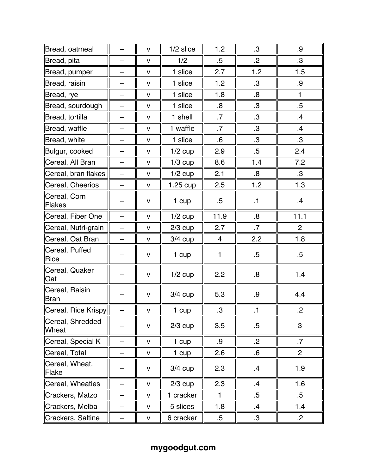| Bread, oatmeal                   |                          | v            | $1/2$ slice        | 1.2          | $\cdot$ 3        | .9              |
|----------------------------------|--------------------------|--------------|--------------------|--------------|------------------|-----------------|
| Bread, pita                      |                          | $\mathsf{V}$ | 1/2                | $.5\,$       | $\overline{2}$   | $.3\,$          |
| Bread, pumper                    | —                        | $\mathsf{V}$ | 1 slice            | 2.7          | 1.2              | 1.5             |
| Bread, raisin                    |                          | v            | 1 slice            | 1.2          | .3               | .9              |
| Bread, rye                       |                          | v            | 1 slice            | 1.8          | $8 \cdot$        | $\mathbf{1}$    |
| Bread, sourdough                 | —                        | $\mathsf{V}$ | 1 slice            | 8.           | $\cdot$ 3        | $.5\,$          |
| Bread, tortilla                  |                          | v            | 1 shell            | .7           | $\cdot$ 3        | $\cdot$         |
| Bread, waffle                    | -                        | v            | 1 waffle           | $\cdot$ 7    | .3               | $\mathcal{A}$   |
| Bread, white                     | $\overline{\phantom{0}}$ | $\mathsf{V}$ | 1 slice            | $6 \,$       | .3               | $\cdot$ 3       |
| Bulgur, cooked                   | $\overline{\phantom{0}}$ | v            | $1/2$ cup          | 2.9          | $.5\,$           | 2.4             |
| Cereal, All Bran                 | $\equiv$                 | v            | $1/3$ cup          | 8.6          | 1.4              | 7.2             |
| Cereal, bran flakes              |                          | v            | $1/2$ cup          | 2.1          | $8 \cdot$        | $\cdot$ 3       |
| Cereal, Cheerios                 |                          | $\mathsf{V}$ | $1.25 \text{ cup}$ | 2.5          | 1.2              | 1.3             |
| Cereal, Corn<br>Flakes           |                          | v            | 1 cup              | $.5\,$       | $\cdot$ 1        | $\cdot$         |
| Cereal, Fiber One                | $\overline{\phantom{0}}$ | $\mathsf{V}$ | $1/2$ cup          | 11.9         | $\boldsymbol{8}$ | 11.1            |
| Cereal, Nutri-grain              | $\overline{\phantom{0}}$ | v            | $2/3$ cup          | 2.7          | $\cdot$ 7        | $\overline{2}$  |
| Cereal, Oat Bran                 |                          | v            | $3/4$ cup          | 4            | 2.2              | 1.8             |
| Cereal, Puffed<br>Rice           |                          | $\mathsf{V}$ | 1 cup              | 1            | $.5\,$           | $.5\,$          |
| Cereal, Quaker<br><b>Oat</b>     |                          | $\mathsf{V}$ | $1/2$ cup          | 2.2          | $8 \cdot$        | 1.4             |
| Cereal, Raisin<br>Bran           |                          | $\mathsf{V}$ | $3/4$ cup          | 5.3          | .9               | 4.4             |
| $\ $ Cereal, Rice Krispy $\ $    |                          | V            | 1 cup              | $\cdot$ 3    | $\cdot$ 1        | $\overline{.2}$ |
| Cereal, Shredded<br><b>Wheat</b> |                          | $\mathsf{V}$ | $2/3$ cup          | 3.5          | $.5\,$           | $\mathbf{3}$    |
| Cereal, Special K                |                          | $\mathsf{V}$ | 1 cup              | .9           | $\cdot$ 2        | $.7\,$          |
| Cereal, Total                    |                          | $\mathsf{V}$ | 1 cup              | 2.6          | 6.6              | $\overline{2}$  |
| Cereal, Wheat.<br>∥Flake         |                          | V            | $3/4$ cup          | 2.3          | $\mathbf{.4}$    | 1.9             |
| Cereal, Wheaties                 |                          | $\mathsf{V}$ | $2/3$ cup          | 2.3          | .4               | 1.6             |
| Crackers, Matzo                  |                          | $\mathsf{V}$ | 1 cracker          | $\mathbf{1}$ | $.5\,$           | $.5\,$          |
| Crackers, Melba                  |                          | $\mathsf{V}$ | 5 slices           | 1.8          | $\cdot$          | 1.4             |
| Crackers, Saltine                |                          | $\mathsf{V}$ | 6 cracker          | $.5\,$       | $\cdot$ 3        | $\cdot$         |